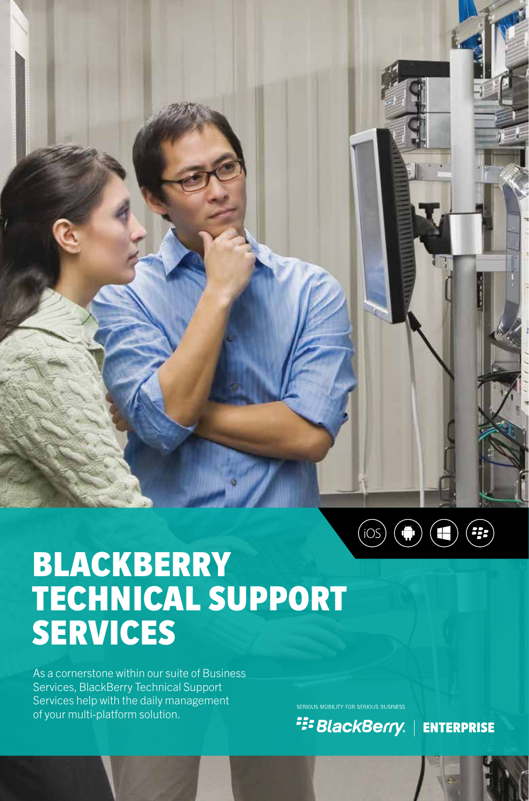

# BLACKBERRY TECHNICAL SUPPORT SERVICES

As a cornerstone within our suite of Business Services, BlackBerry Technical Support Services help with the daily management of your multi-platform solution.

SERIOUS MOBILITY FOR SERIOUS BUSINESS

**FEE BlackBerry.** | ENTERPRISE

BTSS | 1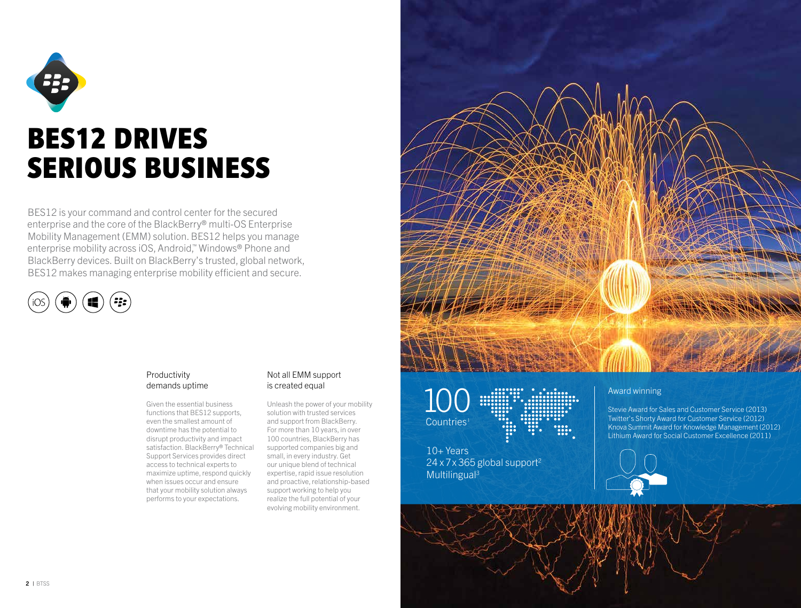

BES12 is your command and control center for the secured enterprise and the core of the BlackBerry® multi-OS Enterprise Mobility Management (EMM) solution. BES12 helps you manage enterprise mobility across iOS, Android,™ Windows® Phone and BlackBerry devices. Built on BlackBerry's trusted, global network, BES12 makes managing enterprise mobility efficient and secure.



### Productivity demands uptime

Given the essential business functions that BES12 supports, even the smallest amount of downtime has the potential to disrupt productivity and impact satisfaction. BlackBerry® Technical Support Services provides direct access to technical experts to maximize uptime, respond quickly when issues occur and ensure that your mobility solution always performs to your expectations.

### Not all EMM support is created equal

Unleash the power of your mobility solution with trusted services and support from BlackBerry. For more than 10 years, in over 100 countries, BlackBerry has supported companies big and small, in every industry. Get our unique blend of technical expertise, rapid issue resolution and proactive, relationship-based support working to help you realize the full potential of your evolving mobility environment.





10+ Years  $24 \times 7 \times 365$  global support<sup>2</sup> Multilingual<sup>3</sup>

### Award winning

Stevie Award for Sales and Customer Service (2013) Twitter's Shorty Award for Customer Service (2012) Knova Summit Award for Knowledge Management (2012) Lithium Award for Social Customer Excellence (2011)

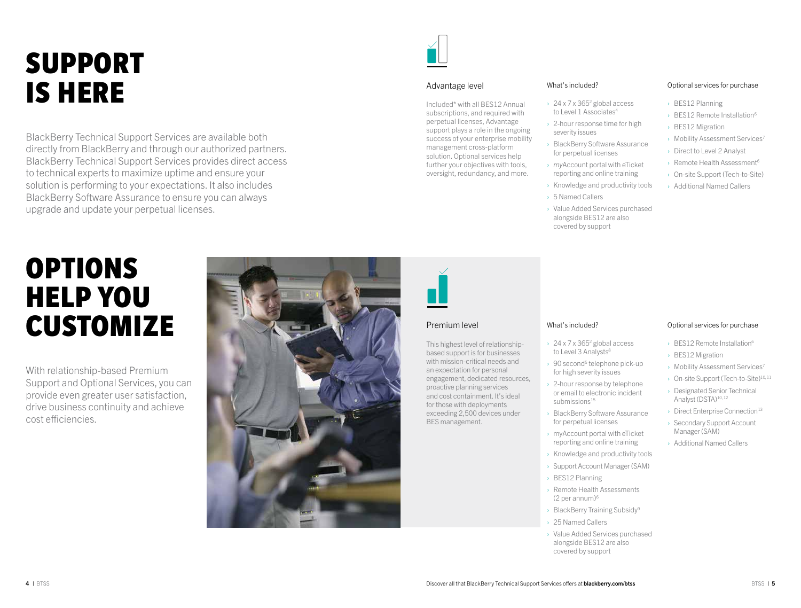# SUPPORT IS HERE

BlackBerry Technical Support Services are available both directly from BlackBerry and through our authorized partners. BlackBerry Technical Support Services provides direct access to technical experts to maximize uptime and ensure your solution is performing to your expectations. It also includes BlackBerry Software Assurance to ensure you can always upgrade and update your perpetual licenses.

#### Advantage level

Included\* with all BES12 Annual subscriptions, and required with perpetual licenses, Advantage support plays a role in the ongoing success of your enterprise mobility management cross-platform solution. Optional services help further your objectives with tools, oversight, redundancy, and more.

#### What's included?

- $\rightarrow$  24 x 7 x 365<sup>2</sup> global access to Level 1 Associates<sup>4</sup>
- $\rightarrow$  2-hour response time for high severity issues
- › BlackBerry Software Assurance for perpetual licenses
- › *my*Account portal with eTicket reporting and online training
- › Knowledge and productivity tools
- › 5 Named Callers
- › Value Added Services purchased alongside BES12 are also covered by support

#### Optional services for purchase

- › BES12 Planning
- › BES12 Remote Installation6
- › BES12 Migration
- › Mobility Assessment Services7
- › Direct to Level 2 Analyst
- › Remote Health Assessment6
- › On-site Support (Tech-to-Site)
- › Additional Named Callers

# OPTIONS HELP YOU CUSTOMIZE

With relationship-based Premium Support and Optional Services, you can provide even greater user satisfaction, drive business continuity and achieve cost efficiencies.





### Premium level

This highest level of relationshipbased support is for businesses with mission-critical needs and an expectation for personal engagement, dedicated resources, proactive planning services and cost containment. It's ideal for those with deployments exceeding 2,500 devices under BES management.

#### What's included?

- $\rightarrow$  24 x 7 x 365<sup>2</sup> global access to Level 3 Analysts<sup>8</sup>
- $\rightarrow$  90 second<sup>5</sup> telephone pick-up for high severity issues
- › 2-hour response by telephone or email to electronic incident submissions<sup>15</sup>
- › BlackBerry Software Assurance for perpetual licenses
- › myAccount portal with eTicket reporting and online training
- › Knowledge and productivity tools
- 
- 
- **BlackBerry Training Subsidy**<sup>9</sup>
- 25 Named Callers
- › Value Added Services purchased alongside BES12 are also covered by support

#### Optional services for purchase

- $\rightarrow$  BES12 Remote Installation<sup>6</sup>
- › BES12 Migration
- › Mobility Assessment Services7
- › On-site Support (Tech-to-Site)10, 11
- › Designated Senior Technical Analyst (DSTA)<sup>10,12</sup>
- $\rightarrow$  Direct Enterprise Connection<sup>13</sup>
- › Secondary Support Account Manager (SAM)
- › Additional Named Callers
- › Support Account Manager (SAM)
- › BES12 Planning
- › Remote Health Assessments  $(2$  per annum) $6$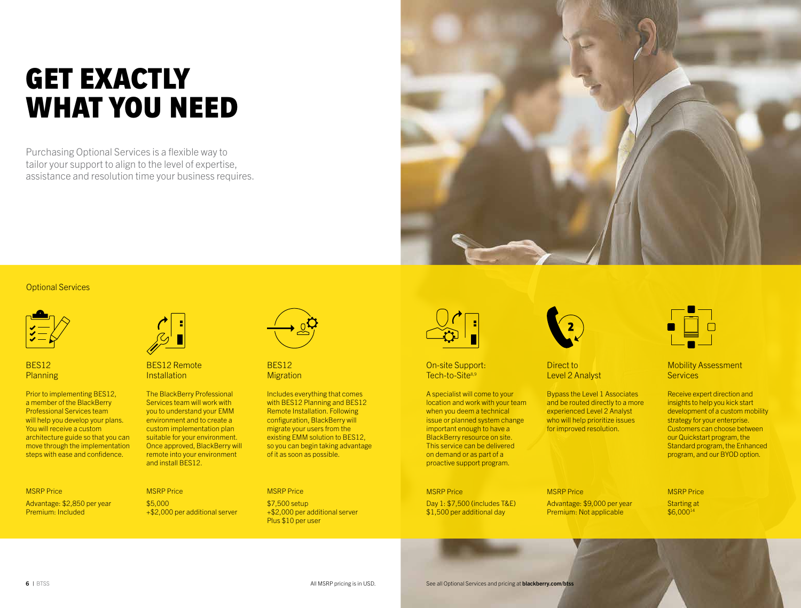# GET EXACTLY WHAT YOU NEED

Purchasing Optional Services is a flexible way to tailor your support to align to the level of expertise, assistance and resolution time your business requires.



### Optional Services



BES12 **Planning** 

Prior to implementing BES12, a member of the BlackBerry Professional Services team will help you develop your plans. You will receive a custom architecture guide so that you can move through the implementation steps with ease and confidence.

## MSRP Price

Advantage: \$2,850 per year Premium: Included



BES12 Remote **Installation** 

MSRP Price \$5,000

The BlackBerry Professional Services team will work with you to understand your EMM environment and to create a custom implementation plan suitable for your environment. Once approved, BlackBerry will remote into your environment and install BES12.

+\$2,000 per additional server



BES12 **Migration** 

Includes everything that comes with BES12 Planning and BES12 Remote Installation. Following configuration, BlackBerry will migrate your users from the existing EMM solution to BES12, so you can begin taking advantage of it as soon as possible.

#### MSRP Price

\$7,500 setup +\$2,000 per additional server Plus \$10 per user



On-site Support: Tech-to-Site8,9

A specialist will come to your location and work with your team when you deem a technical issue or planned system change important enough to have a BlackBerry resource on site. This service can be delivered on demand or as part of a proactive support program.

#### MSRP Price

Day 1: \$7,500 (includes T&E) \$1,500 per additional day



Direct to Level 2 Analyst

Bypass the Level 1 Associates and be routed directly to a more experienced Level 2 Analyst who will help prioritize issues for improved resolution.

#### MSRP Price Advantage: \$9,000 per year Premium: Not applicable

MSRP Price Starting at \$6,00014

Mobility Assessment **Services** 

Receive expert direction and insights to help you kick start development of a custom mobility strategy for your enterprise. Customers can choose between our Quickstart program, the Standard program, the Enhanced program, and our BYOD option.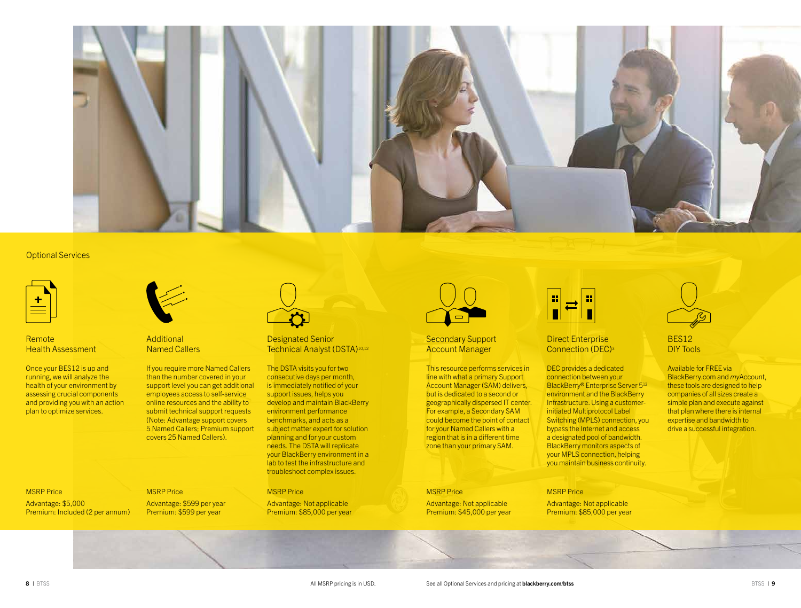

#### Optional Services

Remote **Health Assessment** 

Once your BES12 is up and running, we will analyze the health of your environment by assessing crucial components and providing you with an action plan to optimize services.



**Additional** Named Callers

If you require more Named Callers than the number covered in your support level you can get additional employees access to self-service online resources and the ability to submit technical support requests (Note: Advantage support covers 5 Named Callers; Premium support covers 25 Named Callers).

#### Designated Senior Technical Analyst (DSTA)10,12

The DSTA visits you for two consecutive days per month, is immediately notified of your support issues, helps you develop and maintain BlackBerry environment performance benchmarks, and acts as a subject matter expert for solution planning and for your custom needs. The DSTA will replicate your BlackBerry environment in a lab to test the infrastructure and troubleshoot complex issues.

#### MSRP Price

Advantage: Not applicable Premium: \$85,000 per year



#### Secondary Support Account Manager

This resource performs services in line with what a primary Support Account Manager (SAM) delivers, but is dedicated to a second or geographically dispersed IT center. For example, a Secondary SAM could become the point of contact for your Named Callers with a region that is in a different time zone than your primary SAM.

#### MSRP Price

Advantage: Not applicable Premium: \$45,000 per year



#### Direct Enterprise Connection (DEC)3

DEC provides a dedicated connection between your BlackBerry® Enterprise Server 5<sup>13</sup> environment and the BlackBerry Infrastructure. Using a customerinitiated Multiprotocol Label Switching (MPLS) connection, you bypass the Internet and access a designated pool of bandwidth. BlackBerry monitors aspects of your MPLS connection, helping you maintain business continuity.

### MSRP Price

Advantage: Not applicable Premium: \$85,000 per year



### BES12 DIY Tools

Available for FREE via BlackBerry.com and *my*Account, these tools are designed to help companies of all sizes create a simple plan and execute against that plan where there is internal expertise and bandwidth to drive a successful integration.

#### MSRP Price Advantage: \$5,000 Premium: Included (2 per annum)

MSRP Price Advantage: \$599 per year Premium: \$599 per year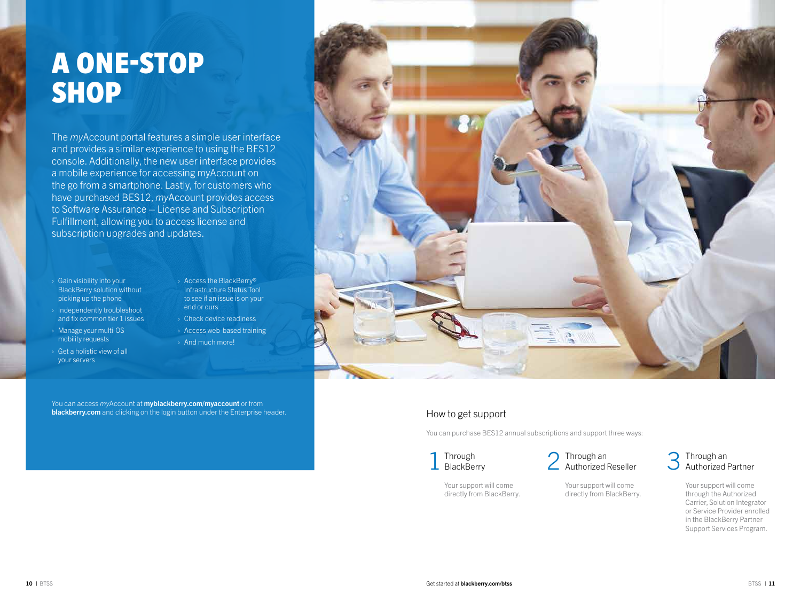# A ONE-STOP SHOP

The *my*Account portal features a simple user interface and provides a similar experience to using the BES12 console. Additionally, the new user interface provides a mobile experience for accessing myAccount on the go from a smartphone. Lastly, for customers who have purchased BES12, *my*Account provides access to Software Assurance – License and Subscription Fulfillment, allowing you to access license and subscription upgrades and updates.

- › Gain visibility into your BlackBerry solution without picking up the phone
- › Independently troubleshoot and fix common tier 1 issues
- › Manage your multi-OS mobility requests
- › Get a holistic view of all your servers
- › Access the BlackBerry® Infrastructure Status Tool to see if an issue is on your end or ours › Check device readiness
- › Access web-based training › And much more!

You can access *my*Account at myblackberry.com/myaccount or from blackberry.com and clicking on the login button under the Enterprise header.



## How to get support

You can purchase BES12 annual subscriptions and support three ways:

Through  $\perp$  BlackBerry



Your support will come directly from BlackBerry.

### Through an Authorized Partner

Your support will come through the Authorized Carrier, Solution Integrator or Service Provider enrolled in the BlackBerry Partner Support Services Program.

Your support will come directly from BlackBerry.